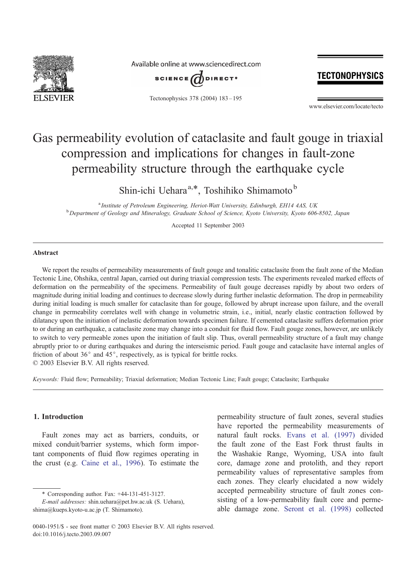

Available online at www.sciencedirect.com



Tectonophysics 378 (2004) 183 – 195

## **TECTONOPHYSICS**

www.elsevier.com/locate/tecto

# Gas permeability evolution of cataclasite and fault gouge in triaxial compression and implications for changes in fault-zone permeability structure through the earthquake cycle

Shin-ichi Uehara<sup>a,\*</sup>, Toshihiko Shimamoto<sup>b</sup>

<sup>a</sup> Institute of Petroleum Engineering, Heriot-Watt University, Edinburgh, EH14 4AS, UK<br><sup>b</sup> Department of Geology and Mineralogy, Graduate School of Science, Kyota University, Kyota 606 <sup>b</sup> Department of Geology and Mineralogy, Graduate School of Science, Kyoto University, Kyoto 606-8502, Japan

Accepted 11 September 2003

## Abstract

We report the results of permeability measurements of fault gouge and tonalitic cataclasite from the fault zone of the Median Tectonic Line, Ohshika, central Japan, carried out during triaxial compression tests. The experiments revealed marked effects of deformation on the permeability of the specimens. Permeability of fault gouge decreases rapidly by about two orders of magnitude during initial loading and continues to decrease slowly during further inelastic deformation. The drop in permeability during initial loading is much smaller for cataclasite than for gouge, followed by abrupt increase upon failure, and the overall change in permeability correlates well with change in volumetric strain, i.e., initial, nearly elastic contraction followed by dilatancy upon the initiation of inelastic deformation towards specimen failure. If cemented cataclasite suffers deformation prior to or during an earthquake, a cataclasite zone may change into a conduit for fluid flow. Fault gouge zones, however, are unlikely to switch to very permeable zones upon the initiation of fault slip. Thus, overall permeability structure of a fault may change abruptly prior to or during earthquakes and during the interseismic period. Fault gouge and cataclasite have internal angles of friction of about  $36^{\circ}$  and  $45^{\circ}$ , respectively, as is typical for brittle rocks.  $\odot$  2003 Elsevier B.V. All rights reserved.

Keywords: Fluid flow; Permeability; Triaxial deformation; Median Tectonic Line; Fault gouge; Cataclasite; Earthquake

## 1. Introduction

Fault zones may act as barriers, conduits, or mixed conduit/barrier systems, which form important components of fluid flow regimes operating in the crust (e.g. [Caine et al., 1996\)](#page-11-0). To estimate the

permeability structure of fault zones, several studies have reported the permeability measurements of natural fault rocks. [Evans et al. \(1997\)](#page-11-0) divided the fault zone of the East Fork thrust faults in the Washakie Range, Wyoming, USA into fault core, damage zone and protolith, and they report permeability values of representative samples from each zones. They clearly elucidated a now widely accepted permeability structure of fault zones consisting of a low-permeability fault core and permeable damage zone. [Seront et al. \(1998\)](#page-11-0) collected

<sup>\*</sup> Corresponding author. Fax: +44-131-451-3127.

E-mail addresses: shin.uehara@pet.hw.ac.uk (S. Uehara), shima@kueps.kyoto-u.ac.jp (T. Shimamoto).

<sup>0040-1951/\$ -</sup> see front matter © 2003 Elsevier B.V. All rights reserved. doi:10.1016/j.tecto.2003.09.007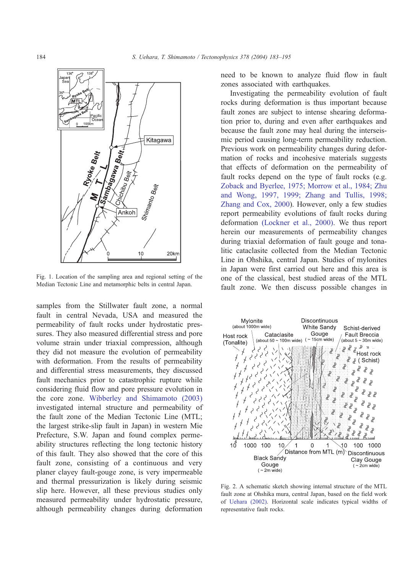<span id="page-1-0"></span>

Fig. 1. Location of the sampling area and regional setting of the Median Tectonic Line and metamorphic belts in central Japan.

samples from the Stillwater fault zone, a normal fault in central Nevada, USA and measured the permeability of fault rocks under hydrostatic pressures. They also measured differential stress and pore volume strain under triaxial compression, although they did not measure the evolution of permeability with deformation. From the results of permeability and differential stress measurements, they discussed fault mechanics prior to catastrophic rupture while considering fluid flow and pore pressure evolution in the core zone. [Wibberley and Shimamoto \(2003\)](#page-11-0) investigated internal structure and permeability of the fault zone of the Median Tectonic Line (MTL; the largest strike-slip fault in Japan) in western Mie Prefecture, S.W. Japan and found complex permeability structures reflecting the long tectonic history of this fault. They also showed that the core of this fault zone, consisting of a continuous and very planer clayey fault-gouge zone, is very impermeable and thermal pressurization is likely during seismic slip here. However, all these previous studies only measured permeability under hydrostatic pressure, although permeability changes during deformation need to be known to analyze fluid flow in fault zones associated with earthquakes.

Investigating the permeability evolution of fault rocks during deformation is thus important because fault zones are subject to intense shearing deformation prior to, during and even after earthquakes and because the fault zone may heal during the interseismic period causing long-term permeability reduction. Previous work on permeability changes during deformation of rocks and incohesive materials suggests that effects of deformation on the permeability of fault rocks depend on the type of fault rocks (e.g. [Zoback and Byerlee, 1975; Morrow et al., 1984; Zhu](#page-12-0) and Wong, 1997, 1999; Zhang and Tullis, 1998; Zhang and Cox, 2000). However, only a few studies report permeability evolutions of fault rocks during deformation [\(Lockner et al., 2000\).](#page-11-0) We thus report herein our measurements of permeability changes during triaxial deformation of fault gouge and tonalitic cataclasite collected from the Median Tectonic Line in Ohshika, central Japan. Studies of mylonites in Japan were first carried out here and this area is one of the classical, best studied areas of the MTL fault zone. We then discuss possible changes in



Fig. 2. A schematic sketch showing internal structure of the MTL fault zone at Ohshika mura, central Japan, based on the field work of [Uehara \(2002\).](#page-11-0) Horizontal scale indicates typical widths of representative fault rocks.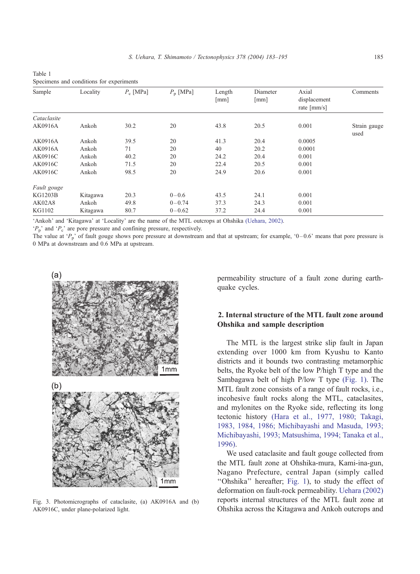| Sample        | Locality | $P_c$ [MPa] | $P_{\rm p}$ [MPa] | Length<br>[mm] | Diameter<br>[mm] | Axial<br>displacement<br>rate $\text{[mm/s]}$ | Comments             |
|---------------|----------|-------------|-------------------|----------------|------------------|-----------------------------------------------|----------------------|
| Cataclasite   |          |             |                   |                |                  |                                               |                      |
| AK0916A       | Ankoh    | 30.2        | 20                | 43.8           | 20.5             | 0.001                                         | Strain gauge<br>used |
| AK0916A       | Ankoh    | 39.5        | 20                | 41.3           | 20.4             | 0.0005                                        |                      |
| AK0916A       | Ankoh    | 71          | 20                | 40             | 20.2             | 0.0001                                        |                      |
| AK0916C       | Ankoh    | 40.2        | 20                | 24.2           | 20.4             | 0.001                                         |                      |
| AK0916C       | Ankoh    | 71.5        | 20                | 22.4           | 20.5             | 0.001                                         |                      |
| AK0916C       | Ankoh    | 98.5        | 20                | 24.9           | 20.6             | 0.001                                         |                      |
| Fault gouge   |          |             |                   |                |                  |                                               |                      |
| KG1203B       | Kitagawa | 20.3        | $0 - 0.6$         | 43.5           | 24.1             | 0.001                                         |                      |
| <b>AK02A8</b> | Ankoh    | 49.8        | $0 - 0.74$        | 37.3           | 24.3             | 0.001                                         |                      |
| KG1102        | Kitagawa | 80.7        | $0 - 0.62$        | 37.2           | 24.4             | 0.001                                         |                      |

<span id="page-2-0"></span>Table 1 Specimens and conditions for experiments

['Ankoh' and 'Kitagawa' at 'Locality' are the name of the MTL outcrops at Ohshika](#page-11-0) (Uehara, 2002).

 $P_p$ ' and  $P_c$ ' are pore pressure and confining pressure, respectively.

The value at ' $P_p$ ' of fault gouge shows pore pressure at downstream and that at upstream; for example, '0–0.6' means that pore pressure is 0 MPa at downstream and 0.6 MPa at upstream.





Fig. 3. Photomicrographs of cataclasite, (a) AK0916A and (b) AK0916C, under plane-polarized light.

permeability structure of a fault zone during earthquake cycles.

## 2. Internal structure of the MTL fault zone around Ohshika and sample description

The MTL is the largest strike slip fault in Japan extending over 1000 km from Kyushu to Kanto districts and it bounds two contrasting metamorphic belts, the Ryoke belt of the low P/high T type and the Sambagawa belt of high P/low T type [\(Fig. 1\).](#page-1-0) The MTL fault zone consists of a range of fault rocks, i.e., incohesive fault rocks along the MTL, cataclasites, and mylonites on the Ryoke side, reflecting its long tectonic history [\(Hara et al., 1977, 1980; Takagi,](#page-11-0) 1983, 1984, 1986; Michibayashi and Masuda, 1993; Michibayashi, 1993; Matsushima, 1994; Tanaka et al., 1996).

We used cataclasite and fault gouge collected from the MTL fault zone at Ohshika-mura, Kami-ina-gun, Nagano Prefecture, central Japan (simply called ''Ohshika'' hereafter; [Fig. 1\)](#page-1-0), to study the effect of deformation on fault-rock permeability. [Uehara \(2002\)](#page-11-0) reports internal structures of the MTL fault zone at Ohshika across the Kitagawa and Ankoh outcrops and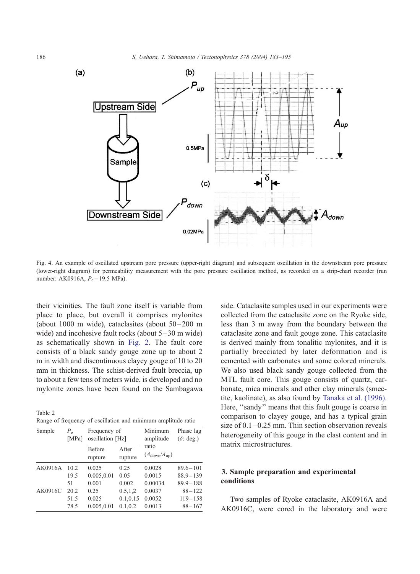<span id="page-3-0"></span>

Fig. 4. An example of oscillated upstream pore pressure (upper-right diagram) and subsequent oscillation in the downstream pore pressure (lower-right diagram) for permeability measurement with the pore pressure oscillation method, as recorded on a strip-chart recorder (run number: AK0916A,  $P_e = 19.5 \text{ MPa}$ ).

their vicinities. The fault zone itself is variable from place to place, but overall it comprises mylonites (about 1000 m wide), cataclasites (about  $50-200$  m wide) and incohesive fault rocks (about  $5-30$  m wide) as schematically shown in [Fig. 2.](#page-1-0) The fault core consists of a black sandy gouge zone up to about 2 m in width and discontinuous clayey gouge of 10 to 20 mm in thickness. The schist-derived fault breccia, up to about a few tens of meters wide, is developed and no mylonite zones have been found on the Sambagawa

Table 2 Range of frequency of oscillation and minimum amplitude ratio

| Sample  | $P_{\rm e}$<br>[MPa] | Frequency of<br>oscillation [Hz] |                  | Minimum<br>amplitude                       | Phase lag<br>$(\delta$ : deg.) |
|---------|----------------------|----------------------------------|------------------|--------------------------------------------|--------------------------------|
|         |                      | Before<br>rupture                | After<br>rupture | ratio<br>$(A_{\text{down}}/A_{\text{up}})$ |                                |
| AK0916A | 10.2                 | 0.025                            | 0.25             | 0.0028                                     | $89.6 - 101$                   |
|         | 19.5                 | 0.005,0.01                       | 0.05             | 0.0015                                     | $88.9 - 139$                   |
|         | 51                   | 0.001                            | 0.002            | 0.00034                                    | $89.9 - 188$                   |
| AK0916C | 20.2                 | 0.25                             | 0.5, 1.2         | 0.0037                                     | $88 - 122$                     |
|         | 51.5                 | 0.025                            | 0.1, 0.15        | 0.0052                                     | $119 - 158$                    |
|         | 78.5                 | 0.005,0.01                       | 0.1, 0.2         | 0.0013                                     | $88 - 167$                     |

side. Cataclasite samples used in our experiments were collected from the cataclasite zone on the Ryoke side, less than 3 m away from the boundary between the cataclasite zone and fault gouge zone. This cataclasite is derived mainly from tonalitic mylonites, and it is partially brecciated by later deformation and is cemented with carbonates and some colored minerals. We also used black sandy gouge collected from the MTL fault core. This gouge consists of quartz, carbonate, mica minerals and other clay minerals (smectite, kaolinate), as also found by [Tanaka et al. \(1996\).](#page-11-0) Here, "sandy" means that this fault gouge is coarse in comparison to clayey gouge, and has a typical grain size of  $0.1 - 0.25$  mm. Thin section observation reveals heterogeneity of this gouge in the clast content and in matrix microstructures.

## 3. Sample preparation and experimental conditions

Two samples of Ryoke cataclasite, AK0916A and AK0916C, were cored in the laboratory and were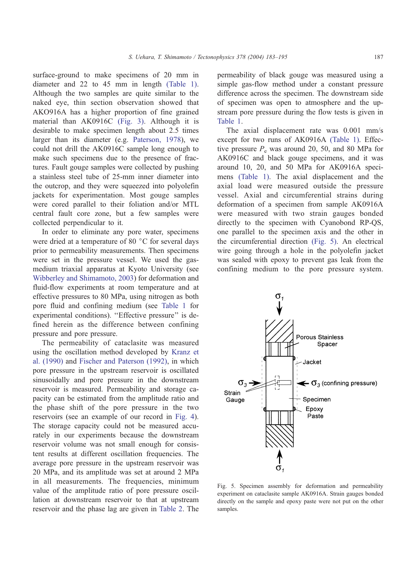surface-ground to make specimens of 20 mm in diameter and 22 to 45 mm in length [\(Table 1\).](#page-2-0) Although the two samples are quite similar to the naked eye, thin section observation showed that AKO916A has a higher proportion of fine grained material than AK0916C [\(Fig. 3\).](#page-2-0) Although it is desirable to make specimen length about 2.5 times larger than its diameter (e.g. [Paterson, 1978\)](#page-11-0), we could not drill the AK0916C sample long enough to make such specimens due to the presence of fractures. Fault gouge samples were collected by pushing a stainless steel tube of 25-mm inner diameter into the outcrop, and they were squeezed into polyolefin jackets for experimentation. Most gouge samples were cored parallel to their foliation and/or MTL central fault core zone, but a few samples were collected perpendicular to it.

In order to eliminate any pore water, specimens were dried at a temperature of 80  $\degree$ C for several days prior to permeability measurements. Then specimens were set in the pressure vessel. We used the gasmedium triaxial apparatus at Kyoto University (see [Wibberley and Shimamoto, 2003\)](#page-11-0) for deformation and fluid-flow experiments at room temperature and at effective pressures to 80 MPa, using nitrogen as both pore fluid and confining medium (see [Table 1](#page-2-0) for experimental conditions). "Effective pressure" is defined herein as the difference between confining pressure and pore pressure.

The permeability of cataclasite was measured using the oscillation method developed by [Kranz et](#page-11-0) al. (1990) and [Fischer and Paterson \(1992\),](#page-11-0) in which pore pressure in the upstream reservoir is oscillated sinusoidally and pore pressure in the downstream reservoir is measured. Permeability and storage capacity can be estimated from the amplitude ratio and the phase shift of the pore pressure in the two reservoirs (see an example of our record in [Fig. 4\)](#page-3-0). The storage capacity could not be measured accurately in our experiments because the downstream reservoir volume was not small enough for consistent results at different oscillation frequencies. The average pore pressure in the upstream reservoir was 20 MPa, and its amplitude was set at around 2 MPa in all measurements. The frequencies, minimum value of the amplitude ratio of pore pressure oscillation at downstream reservoir to that at upstream reservoir and the phase lag are given in [Table 2.](#page-3-0) The permeability of black gouge was measured using a simple gas-flow method under a constant pressure difference across the specimen. The downstream side of specimen was open to atmosphere and the upstream pore pressure during the flow tests is given in [Table 1.](#page-2-0)

The axial displacement rate was 0.001 mm/s except for two runs of AK0916A [\(Table 1\).](#page-2-0) Effective pressure  $P_e$  was around 20, 50, and 80 MPa for AK0916C and black gouge specimens, and it was around 10, 20, and 50 MPa for AK0916A specimens [\(Table 1\).](#page-2-0) The axial displacement and the axial load were measured outside the pressure vessel. Axial and circumferential strains during deformation of a specimen from sample AK0916A were measured with two strain gauges bonded directly to the specimen with Cyanobond RP-QS, one parallel to the specimen axis and the other in the circumferential direction (Fig. 5). An electrical wire going through a hole in the polyolefin jacket was sealed with epoxy to prevent gas leak from the confining medium to the pore pressure system.



Fig. 5. Specimen assembly for deformation and permeability experiment on cataclasite sample AK0916A. Strain gauges bonded directly on the sample and epoxy paste were not put on the other samples.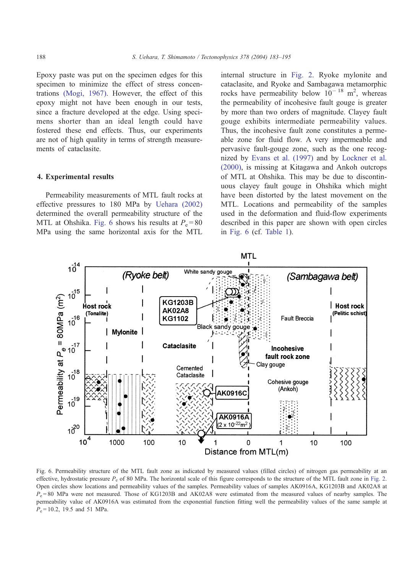Epoxy paste was put on the specimen edges for this specimen to minimize the effect of stress concentrations [\(Mogi, 1967\).](#page-11-0) However, the effect of this epoxy might not have been enough in our tests, since a fracture developed at the edge. Using specimens shorter than an ideal length could have fostered these end effects. Thus, our experiments are not of high quality in terms of strength measurements of cataclasite.

#### 4. Experimental results

Permeability measurements of MTL fault rocks at effective pressures to 180 MPa by [Uehara \(2002\)](#page-11-0) determined the overall permeability structure of the MTL at Ohshika. Fig. 6 shows his results at  $P_e = 80$ MPa using the same horizontal axis for the MTL internal structure in [Fig. 2.](#page-1-0) Ryoke mylonite and cataclasite, and Ryoke and Sambagawa metamorphic rocks have permeability below  $10^{-18}$  m<sup>2</sup>, whereas the permeability of incohesive fault gouge is greater by more than two orders of magnitude. Clayey fault gouge exhibits intermediate permeability values. Thus, the incohesive fault zone constitutes a permeable zone for fluid flow. A very impermeable and pervasive fault-gouge zone, such as the one recognized by [Evans et al. \(1997\)](#page-11-0) and by [Lockner et al.](#page-11-0) (2000), is missing at Kitagawa and Ankoh outcrops of MTL at Ohshika. This may be due to discontinuous clayey fault gouge in Ohshika which might have been distorted by the latest movement on the MTL. Locations and permeability of the samples used in the deformation and fluid-flow experiments described in this paper are shown with open circles in Fig. 6 (cf. [Table 1\)](#page-2-0).



Fig. 6. Permeability structure of the MTL fault zone as indicated by measured values (filled circles) of nitrogen gas permeability at an effective, hydrostatic pressure  $P_e$  of 80 MPa. The horizontal scale of this figure corresponds to the structure of the MTL fault zone in [Fig. 2.](#page-1-0) Open circles show locations and permeability values of the samples. Permeability values of samples AK0916A, KG1203B and AK02A8 at  $P_e = 80$  MPa were not measured. Those of KG1203B and AK02A8 were estimated from the measured values of nearby samples. The permeability value of AK0916A was estimated from the exponential function fitting well the permeability values of the same sample at  $P_e = 10.2$ , 19.5 and 51 MPa.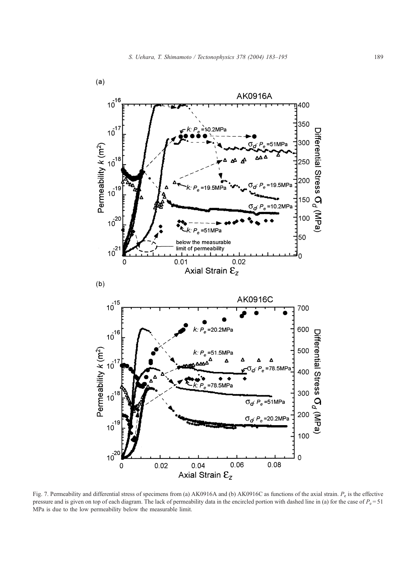<span id="page-6-0"></span>

Fig. 7. Permeability and differential stress of specimens from (a) AK0916A and (b) AK0916C as functions of the axial strain.  $P_e$  is the effective pressure and is given on top of each diagram. The lack of permeability data in the encircled portion with dashed line in (a) for the case of  $P_e = 51$ MPa is due to the low permeability below the measurable limit.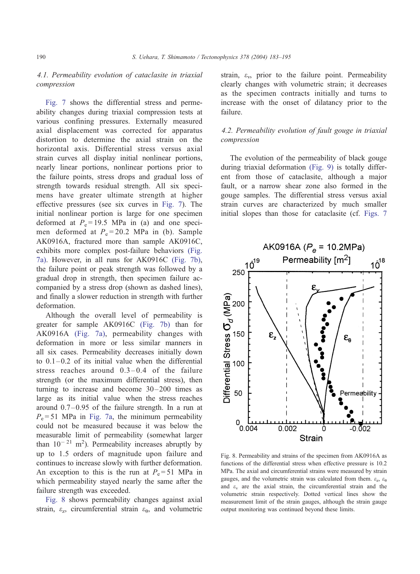## <span id="page-7-0"></span>4.1. Permeability evolution of cataclasite in triaxial compression

[Fig. 7](#page-6-0) shows the differential stress and permeability changes during triaxial compression tests at various confining pressures. Externally measured axial displacement was corrected for apparatus distortion to determine the axial strain on the horizontal axis. Differential stress versus axial strain curves all display initial nonlinear portions, nearly linear portions, nonlinear portions prior to the failure points, stress drops and gradual loss of strength towards residual strength. All six specimens have greater ultimate strength at higher effective pressures (see six curves in [Fig. 7\)](#page-6-0). The initial nonlinear portion is large for one specimen deformed at  $P_e = 19.5$  MPa in (a) and one specimen deformed at  $P_e = 20.2$  MPa in (b). Sample AK0916A, fractured more than sample AK0916C, exhibits more complex post-failure behaviors [\(Fig.](#page-6-0) 7a). However, in all runs for AK0916C [\(Fig. 7b\),](#page-6-0) the failure point or peak strength was followed by a gradual drop in strength, then specimen failure accompanied by a stress drop (shown as dashed lines), and finally a slower reduction in strength with further deformation.

Although the overall level of permeability is greater for sample AK0916C [\(Fig. 7b\)](#page-6-0) than for AK0916A [\(Fig. 7a\),](#page-6-0) permeability changes with deformation in more or less similar manners in all six cases. Permeability decreases initially down to  $0.1 - 0.2$  of its initial value when the differential stress reaches around  $0.3-0.4$  of the failure strength (or the maximum differential stress), then turning to increase and become  $30 - 200$  times as large as its initial value when the stress reaches around 0.7 –0.95 of the failure strength. In a run at  $P_e = 51$  MPa in [Fig. 7a,](#page-6-0) the minimum permeability could not be measured because it was below the measurable limit of permeability (somewhat larger than  $10^{-21}$  m<sup>2</sup>). Permeability increases abruptly by up to 1.5 orders of magnitude upon failure and continues to increase slowly with further deformation. An exception to this is the run at  $P_e = 51$  MPa in which permeability stayed nearly the same after the failure strength was exceeded.

Fig. 8 shows permeability changes against axial strain,  $\varepsilon_z$ , circumferential strain  $\varepsilon_{\theta}$ , and volumetric strain,  $\varepsilon_v$ , prior to the failure point. Permeability clearly changes with volumetric strain; it decreases as the specimen contracts initially and turns to increase with the onset of dilatancy prior to the failure.

## 4.2. Permeability evolution of fault gouge in triaxial compression

The evolution of the permeability of black gouge during triaxial deformation [\(Fig. 9\)](#page-8-0) is totally different from those of cataclasite, although a major fault, or a narrow shear zone also formed in the gouge samples. The differential stress versus axial strain curves are characterized by much smaller initial slopes than those for cataclasite (cf. [Figs. 7](#page-6-0)



Fig. 8. Permeability and strains of the specimen from AK0916A as functions of the differential stress when effective pressure is 10.2 MPa. The axial and circumferential strains were measured by strain gauges, and the volumetric strain was calculated from them.  $\varepsilon_z$ ,  $\varepsilon_{\theta}$ and  $\varepsilon_v$  are the axial strain, the circumferential strain and the volumetric strain respectively. Dotted vertical lines show the measurement limit of the strain gauges, although the strain gauge output monitoring was continued beyond these limits.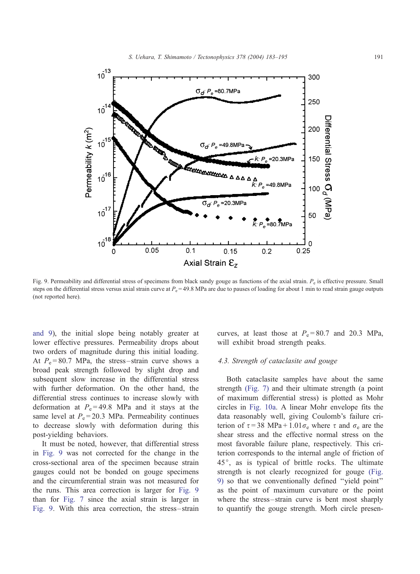<span id="page-8-0"></span>

Fig. 9. Permeability and differential stress of specimens from black sandy gouge as functions of the axial strain.  $P_e$  is effective pressure. Small steps on the differential stress versus axial strain curve at  $P_e = 49.8$  MPa are due to pauses of loading for about 1 min to read strain gauge outputs (not reported here).

and 9), the initial slope being notably greater at lower effective pressures. Permeability drops about two orders of magnitude during this initial loading. At  $P_e = 80.7$  MPa, the stress-strain curve shows a broad peak strength followed by slight drop and subsequent slow increase in the differential stress with further deformation. On the other hand, the differential stress continues to increase slowly with deformation at  $P_e = 49.8$  MPa and it stays at the same level at  $P_e = 20.3$  MPa. Permeability continues to decrease slowly with deformation during this post-yielding behaviors.

It must be noted, however, that differential stress in Fig. 9 was not corrected for the change in the cross-sectional area of the specimen because strain gauges could not be bonded on gouge specimens and the circumferential strain was not measured for the runs. This area correction is larger for Fig. 9 than for [Fig. 7](#page-6-0) since the axial strain is larger in Fig. 9. With this area correction, the stress – strain

curves, at least those at  $P_e = 80.7$  and 20.3 MPa, will exhibit broad strength peaks.

### 4.3. Strength of cataclasite and gouge

Both cataclasite samples have about the same strength [\(Fig. 7\)](#page-6-0) and their ultimate strength (a point of maximum differential stress) is plotted as Mohr circles in [Fig. 10a.](#page-9-0) A linear Mohr envelope fits the data reasonably well, giving Coulomb's failure criterion of  $\tau = 38$  MPa + 1.01 $\sigma_e$  where  $\tau$  and  $\sigma_e$  are the shear stress and the effective normal stress on the most favorable failure plane, respectively. This criterion corresponds to the internal angle of friction of 45°, as is typical of brittle rocks. The ultimate strength is not clearly recognized for gouge (Fig. 9) so that we conventionally defined ''yield point'' as the point of maximum curvature or the point where the stress-strain curve is bent most sharply to quantify the gouge strength. Morh circle presen-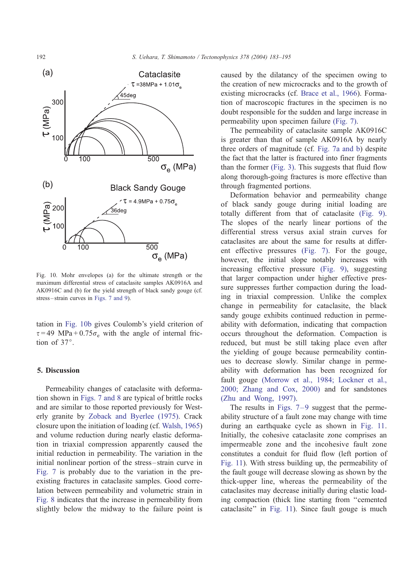<span id="page-9-0"></span>

Fig. 10. Mohr envelopes (a) for the ultimate strength or the maximum differential stress of cataclasite samples AK0916A and AK0916C and (b) for the yield strength of black sandy gouge (cf. stress – strain curves in [Figs. 7 and 9\)](#page-6-0).

tation in Fig. 10b gives Coulomb's yield criterion of  $\tau = 49$  MPa + 0.75 $\sigma_e$  with the angle of internal friction of  $37^\circ$ .

#### 5. Discussion

Permeability changes of cataclasite with deformation shown in [Figs. 7 and 8](#page-6-0) are typical of brittle rocks and are similar to those reported previously for Westerly granite by [Zoback and Byerlee \(1975\).](#page-12-0) Crack closure upon the initiation of loading (cf. [Walsh, 1965\)](#page-11-0) and volume reduction during nearly elastic deformation in triaxial compression apparently caused the initial reduction in permeability. The variation in the initial nonlinear portion of the stress – strain curve in [Fig. 7](#page-6-0) is probably due to the variation in the preexisting fractures in cataclasite samples. Good correlation between permeability and volumetric strain in [Fig. 8](#page-7-0) indicates that the increase in permeability from slightly below the midway to the failure point is caused by the dilatancy of the specimen owing to the creation of new microcracks and to the growth of existing microcracks (cf. [Brace et al., 1966\)](#page-11-0). Formation of macroscopic fractures in the specimen is no doubt responsible for the sudden and large increase in permeability upon specimen failure [\(Fig. 7\).](#page-6-0)

The permeability of cataclasite sample AK0916C is greater than that of sample AK0916A by nearly three orders of magnitude (cf. [Fig. 7a and b\)](#page-6-0) despite the fact that the latter is fractured into finer fragments than the former [\(Fig. 3\).](#page-2-0) This suggests that fluid flow along thorough-going fractures is more effective than through fragmented portions.

Deformation behavior and permeability change of black sandy gouge during initial loading are totally different from that of cataclasite [\(Fig. 9\).](#page-8-0) The slopes of the nearly linear portions of the differential stress versus axial strain curves for cataclasites are about the same for results at different effective pressures [\(Fig. 7\).](#page-6-0) For the gouge, however, the initial slope notably increases with increasing effective pressure [\(Fig. 9\),](#page-8-0) suggesting that larger compaction under higher effective pressure suppresses further compaction during the loading in triaxial compression. Unlike the complex change in permeability for cataclasite, the black sandy gouge exhibits continued reduction in permeability with deformation, indicating that compaction occurs throughout the deformation. Compaction is reduced, but must be still taking place even after the yielding of gouge because permeability continues to decrease slowly. Similar change in permeability with deformation has been recognized for fault gouge [\(Morrow et al., 1984; Lockner et al.,](#page-11-0) 2000; Zhang and Cox, 2000) and for sandstones [\(Zhu and Wong, 1997\).](#page-12-0)

The results in Figs.  $7-9$  suggest that the permeability structure of a fault zone may change with time during an earthquake cycle as shown in [Fig. 11.](#page-10-0) Initially, the cohesive cataclasite zone comprises an impermeable zone and the incohesive fault zone constitutes a conduit for fluid flow (left portion of [Fig. 11\)](#page-10-0). With stress building up, the permeability of the fault gouge will decrease slowing as shown by the thick-upper line, whereas the permeability of the cataclasites may decrease initially during elastic loading compaction (thick line starting from ''cemented cataclasite'' in [Fig. 11\)](#page-10-0). Since fault gouge is much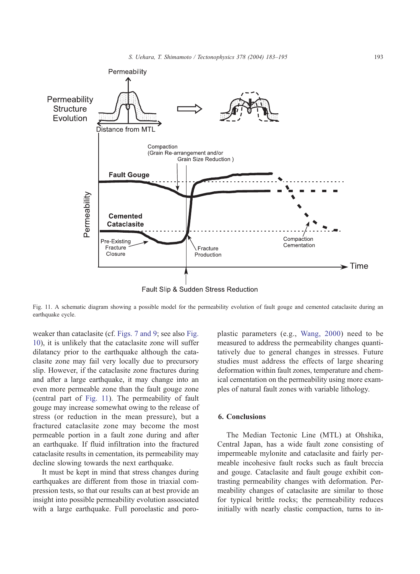<span id="page-10-0"></span>

Fig. 11. A schematic diagram showing a possible model for the permeability evolution of fault gouge and cemented cataclasite during an earthquake cycle.

weaker than cataclasite (cf. [Figs. 7 and 9;](#page-6-0) see also [Fig.](#page-9-0) 10), it is unlikely that the cataclasite zone will suffer dilatancy prior to the earthquake although the cataclasite zone may fail very locally due to precursory slip. However, if the cataclasite zone fractures during and after a large earthquake, it may change into an even more permeable zone than the fault gouge zone (central part of Fig. 11). The permeability of fault gouge may increase somewhat owing to the release of stress (or reduction in the mean pressure), but a fractured cataclasite zone may become the most permeable portion in a fault zone during and after an earthquake. If fluid infiltration into the fractured cataclasite results in cementation, its permeability may decline slowing towards the next earthquake.

It must be kept in mind that stress changes during earthquakes are different from those in triaxial compression tests, so that our results can at best provide an insight into possible permeability evolution associated with a large earthquake. Full poroelastic and poroplastic parameters (e.g., [Wang, 2000\)](#page-11-0) need to be measured to address the permeability changes quantitatively due to general changes in stresses. Future studies must address the effects of large shearing deformation within fault zones, temperature and chemical cementation on the permeability using more examples of natural fault zones with variable lithology.

#### 6. Conclusions

The Median Tectonic Line (MTL) at Ohshika, Central Japan, has a wide fault zone consisting of impermeable mylonite and cataclasite and fairly permeable incohesive fault rocks such as fault breccia and gouge. Cataclasite and fault gouge exhibit contrasting permeability changes with deformation. Permeability changes of cataclasite are similar to those for typical brittle rocks; the permeability reduces initially with nearly elastic compaction, turns to in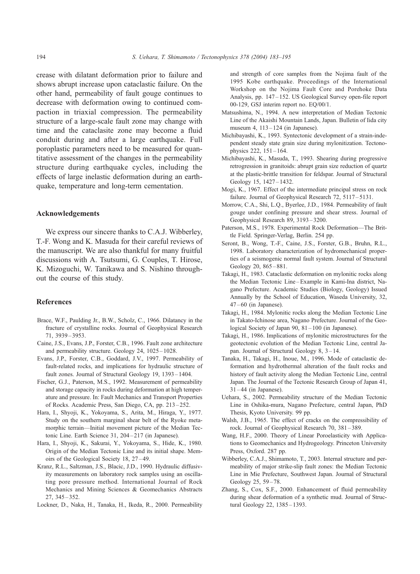<span id="page-11-0"></span>crease with dilatant deformation prior to failure and shows abrupt increase upon cataclastic failure. On the other hand, permeability of fault gouge continues to decrease with deformation owing to continued compaction in triaxial compression. The permeability structure of a large-scale fault zone may change with time and the cataclasite zone may become a fluid conduit during and after a large earthquake. Full poroplastic parameters need to be measured for quantitative assessment of the changes in the permeability structure during earthquake cycles, including the effects of large inelastic deformation during an earthquake, temperature and long-term cementation.

#### Acknowledgements

We express our sincere thanks to C.A.J. Wibberley, T.-F. Wong and K. Masuda for their careful reviews of the manuscript. We are also thankful for many fruitful discussions with A. Tsutsumi, G. Couples, T. Hirose, K. Mizoguchi, W. Tanikawa and S. Nishino throughout the course of this study.

## References

- Brace, W.F., Paulding Jr., B.W., Scholz, C., 1966. Dilatancy in the fracture of crystalline rocks. Journal of Geophysical Research 71, 3939 – 3953.
- Caine, J.S., Evans, J.P., Forster, C.B., 1996. Fault zone architecture and permeability structure. Geology 24, 1025 – 1028.
- Evans, J.P., Forster, C.B., Goddard, J.V., 1997. Permeability of fault-related rocks, and implications for hydraulic structure of fault zones. Journal of Structural Geology 19, 1393 – 1404.
- Fischer, G.J., Paterson, M.S., 1992. Measurement of permeability and storage capacity in rocks during deformation at high temperature and pressure. In: Fault Mechanics and Transport Properties of Rocks. Academic Press, San Diego, CA, pp. 213 – 252.
- Hara, I., Shyoji, K., Yokoyama, S., Arita, M., Hiraga, Y., 1977. Study on the southern marginal shear belt of the Ryoke metamorphic terrain—Initial movement picture of the Median Tectonic Line. Earth Science 31, 204-217 (in Japanese).
- Hara, I., Shyoji, K., Sakurai, Y., Yokoyama, S., Hide, K., 1980. Origin of the Median Tectonic Line and its initial shape. Memoirs of the Geological Society 18, 27 – 49.
- Kranz, R.L., Saltzman, J.S., Blacic, J.D., 1990. Hydraulic diffusivity measurements on laboratory rock samples using an oscillating pore pressure method. International Journal of Rock Mechanics and Mining Sciences & Geomechanics Abstracts 27, 345 – 352.
- Lockner, D., Naka, H., Tanaka, H., Ikeda, R., 2000. Permeability

and strength of core samples from the Nojima fault of the 1995 Kobe earthquake. Proceedings of the International Workshop on the Nojima Fault Core and Porehoke Data Analysis, pp. 147 – 152. US Geological Survey open-file report 00-129, GSJ interim report no. EQ/00/1.

- Matsushima, N., 1994. A new interpretation of Median Tectonic Line of the Akaishi Mountain Lands, Japan. Bulletin of Iida city museum 4, 113 – 124 (in Japanese).
- Michibayashi, K., 1993. Syntectonic development of a strain-independent steady state grain size during mylonitization. Tectonophysics 222, 151 – 164.
- Michibayashi, K., Masuda, T., 1993. Shearing during progressive retrogression in granitoids: abrupt grain size reduction of quartz at the plastic-brittle transition for feldspar. Journal of Structural Geology 15, 1427–1432.
- Mogi, K., 1967. Effect of the intermediate principal stress on rock failure. Journal of Geophysical Research 72, 5117-5131.
- Morrow, C.A., Shi, L.Q., Byerlee, J.D., 1984. Permeability of fault gouge under confining pressure and shear stress. Journal of Geophysical Research 89, 3193 – 3200.
- Paterson, M.S., 1978. Experimental Rock Deformation—The Brittle Field. Springer-Verlag, Berlin. 254 pp.
- Seront, B., Wong, T.-F., Caine, J.S., Forster, G.B., Bruhn, R.L., 1998. Laboratory characterization of hydromechanical properties of a seismogenic normal fault system. Journal of Structural Geology 20, 865 – 881.
- Takagi, H., 1983. Cataclastic deformation on mylonitic rocks along the Median Tectonic Line – Example in Kami-Ina district, Nagano Prefecture. Academic Studies (Biology, Geology) Issued Annually by the School of Education, Waseda University, 32,  $47 - 60$  (in Japanese).
- Takagi, H., 1984. Mylonitic rocks along the Median Tectonic Line in Takato-Ichinose area, Nagano Prefecture. Journal of the Geological Society of Japan 90, 81 – 100 (in Japanese).
- Takagi, H., 1986. Implications of mylonitic microstructures for the geotectonic evolution of the Median Tectonic Line, central Japan. Journal of Structural Geology 8, 3 – 14.
- Tanaka, H., Takagi, H., Inoue, M., 1996. Mode of cataclastic deformation and hydrothermal alteration of the fault rocks and history of fault activity along the Median Tectonic Line, central Japan. The Journal of the Tectonic Research Group of Japan 41,  $31 - 44$  (in Japanese).
- Uehara, S., 2002. Permeability structure of the Median Tectonic Line in Oshika-mura, Nagano Prefecture, central Japan, PhD Thesis, Kyoto University. 99 pp.
- Walsh, J.B., 1965. The effect of cracks on the compressibility of rock. Journal of Geophysical Research 70, 381 – 389.
- Wang, H.F., 2000. Theory of Linear Poroelasticity with Applications to Geomechanics and Hydrogeology. Princeton University Press, Oxford. 287 pp.
- Wibberley, C.A.J., Shimamoto, T., 2003. Internal structure and permeability of major strike-slip fault zones: the Median Tectonic Line in Mie Prefecture, Southwest Japan. Journal of Structural Geology 25, 59 – 78.
- Zhang, S., Cox, S.F., 2000. Enhancement of fluid permeability during shear deformation of a synthetic mud. Journal of Structural Geology 22, 1385-1393.